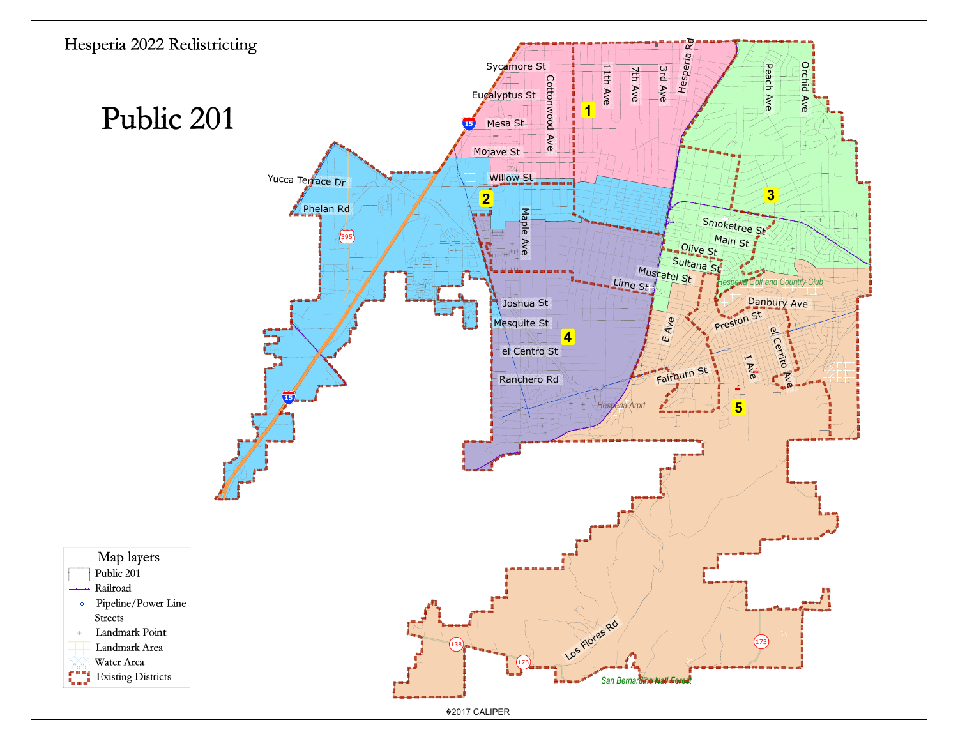